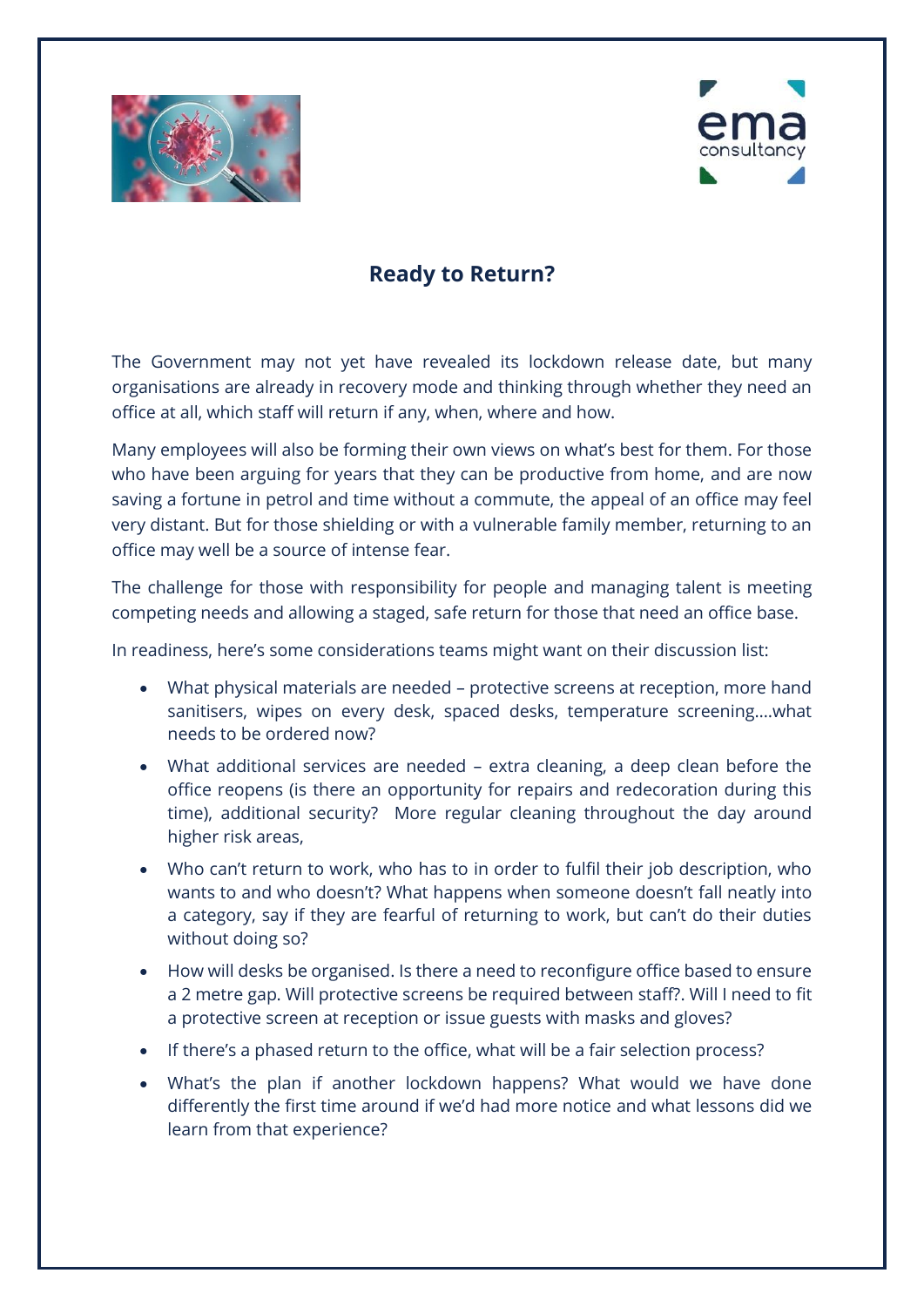



## **Ready to Return?**

The Government may not yet have revealed its lockdown release date, but many organisations are already in recovery mode and thinking through whether they need an office at all, which staff will return if any, when, where and how.

Many employees will also be forming their own views on what's best for them. For those who have been arguing for years that they can be productive from home, and are now saving a fortune in petrol and time without a commute, the appeal of an office may feel very distant. But for those shielding or with a vulnerable family member, returning to an office may well be a source of intense fear.

The challenge for those with responsibility for people and managing talent is meeting competing needs and allowing a staged, safe return for those that need an office base.

In readiness, here's some considerations teams might want on their discussion list:

- What physical materials are needed protective screens at reception, more hand sanitisers, wipes on every desk, spaced desks, temperature screening….what needs to be ordered now?
- What additional services are needed extra cleaning, a deep clean before the office reopens (is there an opportunity for repairs and redecoration during this time), additional security? More regular cleaning throughout the day around higher risk areas,
- Who can't return to work, who has to in order to fulfil their job description, who wants to and who doesn't? What happens when someone doesn't fall neatly into a category, say if they are fearful of returning to work, but can't do their duties without doing so?
- How will desks be organised. Is there a need to reconfigure office based to ensure a 2 metre gap. Will protective screens be required between staff?. Will I need to fit a protective screen at reception or issue guests with masks and gloves?
- If there's a phased return to the office, what will be a fair selection process?
- What's the plan if another lockdown happens? What would we have done differently the first time around if we'd had more notice and what lessons did we learn from that experience?